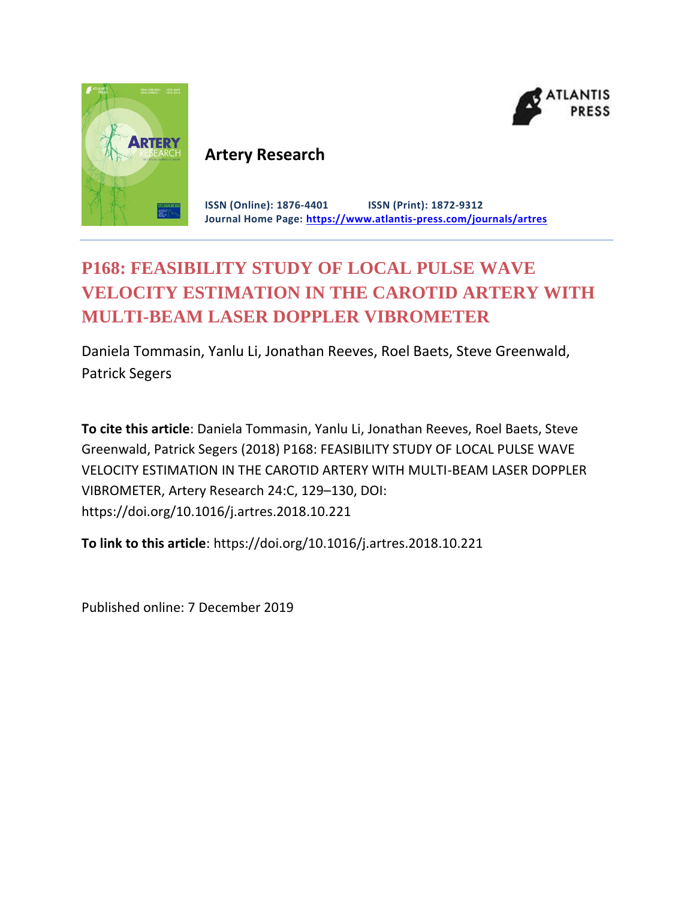



# **Artery Research**

**ISSN (Online): 1876-4401 ISSN (Print): 1872-9312 Journal Home Page: <https://www.atlantis-press.com/journals/artres>**

# **P168: FEASIBILITY STUDY OF LOCAL PULSE WAVE VELOCITY ESTIMATION IN THE CAROTID ARTERY WITH MULTI-BEAM LASER DOPPLER VIBROMETER**

Daniela Tommasin, Yanlu Li, Jonathan Reeves, Roel Baets, Steve Greenwald, Patrick Segers

**To cite this article**: Daniela Tommasin, Yanlu Li, Jonathan Reeves, Roel Baets, Steve Greenwald, Patrick Segers (2018) P168: FEASIBILITY STUDY OF LOCAL PULSE WAVE VELOCITY ESTIMATION IN THE CAROTID ARTERY WITH MULTI-BEAM LASER DOPPLER VIBROMETER, Artery Research 24:C, 129–130, DOI: https://doi.org/10.1016/j.artres.2018.10.221

**To link to this article**: https://doi.org/10.1016/j.artres.2018.10.221

Published online: 7 December 2019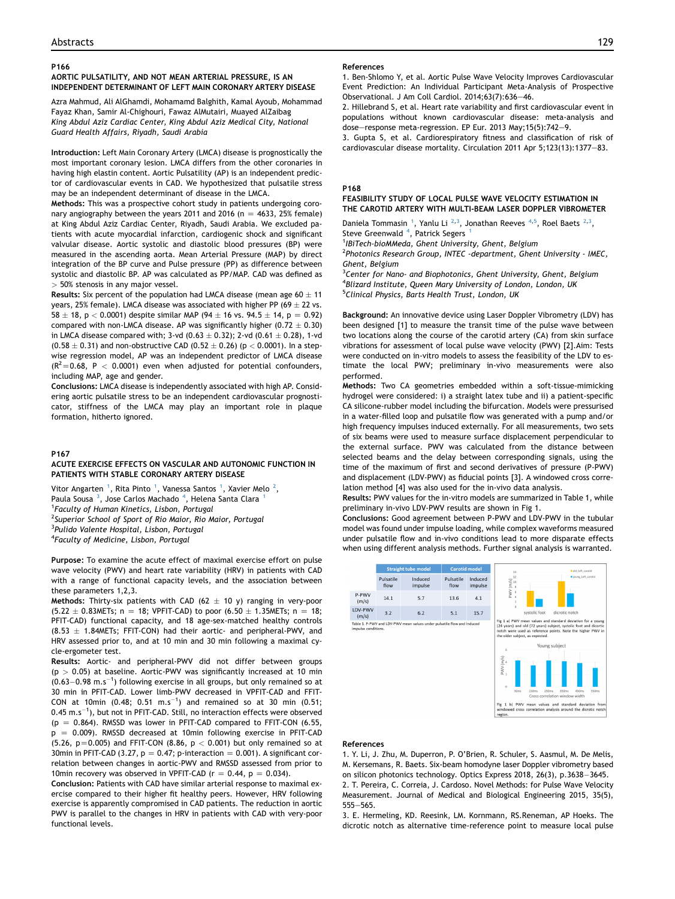## P166

# AORTIC PULSATILITY, AND NOT MEAN ARTERIAL PRESSURE, IS AN INDEPENDENT DETERMINANT OF LEFT MAIN CORONARY ARTERY DISEASE

Azra Mahmud, Ali AlGhamdi, Mohamamd Balghith, Kamal Ayoub, Mohammad Fayaz Khan, Samir Al-Chighouri, Fawaz AlMutairi, Muayed AlZaibag King Abdul Aziz Cardiac Center, King Abdul Aziz Medical City, National Guard Health Affairs, Riyadh, Saudi Arabia

Introduction: Left Main Coronary Artery (LMCA) disease is prognostically the most important coronary lesion. LMCA differs from the other coronaries in having high elastin content. Aortic Pulsatility (AP) is an independent predictor of cardiovascular events in CAD. We hypothesized that pulsatile stress may be an independent determinant of disease in the LMCA.

Methods: This was a prospective cohort study in patients undergoing coronary angiography between the years 2011 and 2016 (n = 4633, 25% female) at King Abdul Aziz Cardiac Center, Riyadh, Saudi Arabia. We excluded patients with acute myocardial infarction, cardiogenic shock and significant valvular disease. Aortic systolic and diastolic blood pressures (BP) were measured in the ascending aorta. Mean Arterial Pressure (MAP) by direct integration of the BP curve and Pulse pressure (PP) as difference between systolic and diastolic BP. AP was calculated as PP/MAP. CAD was defined as > 50% stenosis in any major vessel.

Results: Six percent of the population had LMCA disease (mean age 60  $\pm$  11 years, 25% female). LMCA disease was associated with higher PP (69  $\pm$  22 vs.  $58 \pm 18$ , p < 0.0001) despite similar MAP (94  $\pm$  16 vs. 94.5  $\pm$  14, p = 0.92) compared with non-LMCA disease. AP was significantly higher  $(0.72 \pm 0.30)$ in LMCA disease compared with; 3-vd (0.63  $\pm$  0.32); 2-vd (0.61  $\pm$  0.28), 1-vd  $(0.58 \pm 0.31)$  and non-obstructive CAD  $(0.52 \pm 0.26)$  (p < 0.0001). In a stepwise regression model, AP was an independent predictor of LMCA disease  $(R^2=0.68, P < 0.0001)$  even when adjusted for potential confounders, including MAP, age and gender.

Conclusions: LMCA disease is independently associated with high AP. Considering aortic pulsatile stress to be an independent cardiovascular prognosticator, stiffness of the LMCA may play an important role in plaque formation, hitherto ignored.

#### P167

# ACUTE EXERCISE EFFECTS ON VASCULAR AND AUTONOMIC FUNCTION IN PATIENTS WITH STABLE CORONARY ARTERY DISEASE

Vitor Angarten <sup>1</sup>, Rita Pinto <sup>1</sup>, Vanessa Santos <sup>1</sup>, Xavier Melo <sup>2</sup>, Paula Sousa<sup>3</sup>, Jose Carlos Machado<sup>4</sup>, Helena Santa Clara<sup>1</sup> <sup>1</sup>Faculty of Human Kinetics, Lisbon, Portugal <sup>2</sup>Superior School of Sport of Rio Maior, Rio Maior, Portugal <sup>3</sup>Pulido Valente Hospital, Lisbon, Portugal 4 Faculty of Medicine, Lisbon, Portugal

Purpose: To examine the acute effect of maximal exercise effort on pulse wave velocity (PWV) and heart rate variability (HRV) in patients with CAD with a range of functional capacity levels, and the association between these parameters 1,2,3.

Methods: Thirty-six patients with CAD (62  $\pm$  10 y) ranging in very-poor  $(5.22 \pm 0.83$ METs; n = 18; VPFIT-CAD) to poor  $(6.50 \pm 1.35$ METs; n = 18; PFIT-CAD) functional capacity, and 18 age-sex-matched healthy controls  $(8.53 \pm 1.84$ METs; FFIT-CON) had their aortic- and peripheral-PWV, and HRV assessed prior to, and at 10 min and 30 min following a maximal cycle-ergometer test.

Results: Aortic- and peripheral-PWV did not differ between groups  $(p > 0.05)$  at baseline. Aortic-PWV was significantly increased at 10 min  $(0.63-0.98 \text{ m.s}^{-1})$  following exercise in all groups, but only remained so at 30 min in PFIT-CAD. Lower limb-PWV decreased in VPFIT-CAD and FFIT-CON at 10min (0.48; 0.51 m.s<sup>-1</sup>) and remained so at 30 min (0.51; 0.45 m.s $^{-1}$ ), but not in PFIT-CAD. Still, no interaction effects were observed  $(p = 0.864)$ . RMSSD was lower in PFIT-CAD compared to FFIT-CON (6.55,  $p = 0.009$ ). RMSSD decreased at 10min following exercise in PFIT-CAD (5.26,  $p=0.005$ ) and FFIT-CON (8.86,  $p < 0.001$ ) but only remained so at 30min in PFIT-CAD (3.27,  $p = 0.47$ ; p-interaction = 0.001). A significant correlation between changes in aortic-PWV and RMSSD assessed from prior to 10min recovery was observed in VPFIT-CAD ( $r = 0.44$ ,  $p = 0.034$ ).

Conclusion: Patients with CAD have similar arterial response to maximal exercise compared to their higher fit healthy peers. However, HRV following exercise is apparently compromised in CAD patients. The reduction in aortic PWV is parallel to the changes in HRV in patients with CAD with very-poor functional levels.

#### References

1. Ben-Shlomo Y, et al. Aortic Pulse Wave Velocity Improves Cardiovascular Event Prediction: An Individual Participant Meta-Analysis of Prospective Observational. J Am Coll Cardiol.  $2014;63(7):636-46$ .

2. Hillebrand S, et al. Heart rate variability and first cardiovascular event in populations without known cardiovascular disease: meta-analysis and dose-response meta-regression. EP Eur. 2013 May;15(5):742-9.

3. Gupta S, et al. Cardiorespiratory fitness and classification of risk of cardiovascular disease mortality. Circulation 2011 Apr 5;123(13):1377-83.

### P168

# FEASIBILITY STUDY OF LOCAL PULSE WAVE VELOCITY ESTIMATION IN THE CAROTID ARTERY WITH MULTI-BEAM LASER DOPPLER VIBROMETER

Daniela Tommasin<sup>1</sup>, Yanlu Li<sup>2,3</sup>, Jonathan Reeves<sup>4,5</sup>, Roel Baets<sup>2,3</sup>, Steve Greenwald <sup>4</sup>, Patrick Segers <sup>1</sup>

<sup>1</sup>IBiTech-bioMMeda, Ghent University, Ghent, Belgium

<sup>2</sup>Photonics Research Group, INTEC -department, Ghent University - IMEC, Ghent, Belgium

<sup>3</sup>Center for Nano- and Biophotonics, Ghent University, Ghent, Belgium 4 Blizard Institute, Queen Mary University of London, London, UK <sup>5</sup>Clinical Physics, Barts Health Trust, London, UK

Background: An innovative device using Laser Doppler Vibrometry (LDV) has been designed [1] to measure the transit time of the pulse wave between two locations along the course of the carotid artery (CA) from skin surface vibrations for assessment of local pulse wave velocity (PWV) [2].Aim: Tests were conducted on in-vitro models to assess the feasibility of the LDV to estimate the local PWV; preliminary in-vivo measurements were also performed.

Methods: Two CA geometries embedded within a soft-tissue-mimicking hydrogel were considered: i) a straight latex tube and ii) a patient-specific CA silicone-rubber model including the bifurcation. Models were pressurised in a water-filled loop and pulsatile flow was generated with a pump and/or high frequency impulses induced externally. For all measurements, two sets of six beams were used to measure surface displacement perpendicular to the external surface. PWV was calculated from the distance between selected beams and the delay between corresponding signals, using the time of the maximum of first and second derivatives of pressure (P-PWV) and displacement (LDV-PWV) as fiducial points [3]. A windowed cross correlation method [4] was also used for the in-vivo data analysis.

Results: PWV values for the in-vitro models are summarized in Table 1, while preliminary in-vivo LDV-PWV results are shown in Fig 1.

Conclusions: Good agreement between P-PWV and LDV-PWV in the tubular model was found under impulse loading, while complex waveforms measured under pulsatile flow and in-vivo conditions lead to more disparate effects when using different analysis methods. Further signal analysis is warranted.



#### References

1. Y. Li, J. Zhu, M. Duperron, P. O'Brien, R. Schuler, S. Aasmul, M. De Melis, M. Kersemans, R. Baets. Six-beam homodyne laser Doppler vibrometry based on silicon photonics technology. Optics Express 2018, 26(3), p.3638-3645.

2. T. Pereira, C. Correia, J. Cardoso. Novel Methods: for Pulse Wave Velocity Measurement. Journal of Medical and Biological Engineering 2015, 35(5),  $555 - 565$ .

3. E. Hermeling, KD. Reesink, LM. Kornmann, RS.Reneman, AP Hoeks. The dicrotic notch as alternative time-reference point to measure local pulse